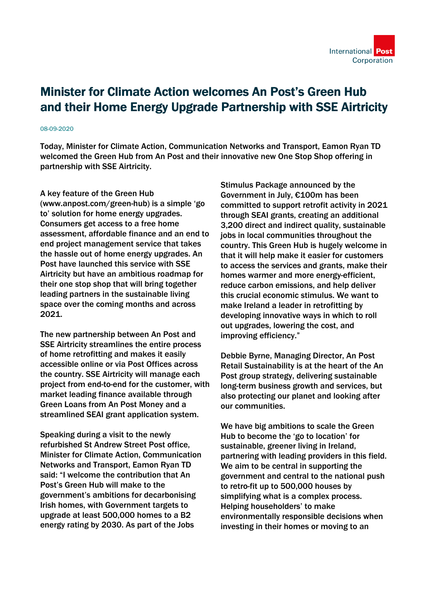

## Minister for Climate Action welcomes An Post's Green Hub and their Home Energy Upgrade Partnership with SSE Airtricity

## 08-09-2020

Today, Minister for Climate Action, Communication Networks and Transport, Eamon Ryan TD welcomed the Green Hub from An Post and their innovative new One Stop Shop offering in partnership with SSE Airtricity.

## A key feature of the Green Hub

(www.anpost.com/green-hub) is a simple 'go to' solution for home energy upgrades. Consumers get access to a free home assessment, affordable finance and an end to end project management service that takes the hassle out of home energy upgrades. An Post have launched this service with SSE Airtricity but have an ambitious roadmap for their one stop shop that will bring together leading partners in the sustainable living space over the coming months and across 2021.

The new partnership between An Post and SSE Airtricity streamlines the entire process of home retrofitting and makes it easily accessible online or via Post Offices across the country. SSE Airtricity will manage each project from end-to-end for the customer, with market leading finance available through Green Loans from An Post Money and a streamlined SEAI grant application system.

Speaking during a visit to the newly refurbished St Andrew Street Post office, Minister for Climate Action, Communication Networks and Transport, Eamon Ryan TD said: "I welcome the contribution that An Post's Green Hub will make to the government's ambitions for decarbonising Irish homes, with Government targets to upgrade at least 500,000 homes to a B2 energy rating by 2030. As part of the Jobs

Stimulus Package announced by the Government in July, €100m has been committed to support retrofit activity in 2021 through SEAI grants, creating an additional 3,200 direct and indirect quality, sustainable jobs in local communities throughout the country. This Green Hub is hugely welcome in that it will help make it easier for customers to access the services and grants, make their homes warmer and more energy-efficient, reduce carbon emissions, and help deliver this crucial economic stimulus. We want to make Ireland a leader in retrofitting by developing innovative ways in which to roll out upgrades, lowering the cost, and improving efficiency."

Debbie Byrne, Managing Director, An Post Retail Sustainability is at the heart of the An Post group strategy, delivering sustainable long-term business growth and services, but also protecting our planet and looking after our communities.

We have big ambitions to scale the Green Hub to become the 'go to location' for sustainable, greener living in Ireland, partnering with leading providers in this field. We aim to be central in supporting the government and central to the national push to retro-fit up to 500,000 houses by simplifying what is a complex process. Helping householders' to make environmentally responsible decisions when investing in their homes or moving to an